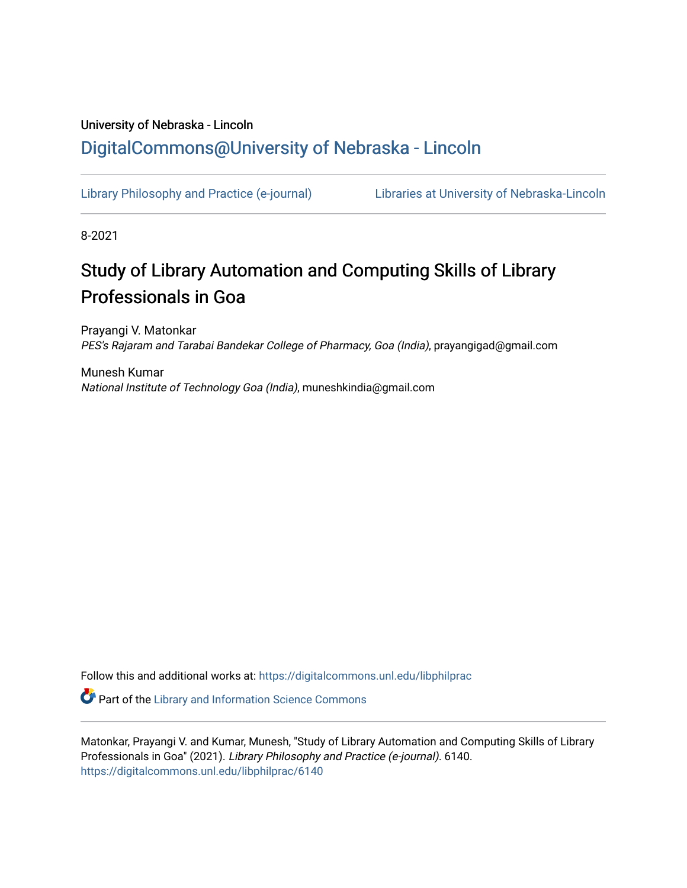## University of Nebraska - Lincoln [DigitalCommons@University of Nebraska - Lincoln](https://digitalcommons.unl.edu/)

[Library Philosophy and Practice \(e-journal\)](https://digitalcommons.unl.edu/libphilprac) [Libraries at University of Nebraska-Lincoln](https://digitalcommons.unl.edu/libraries) 

8-2021

# Study of Library Automation and Computing Skills of Library Professionals in Goa

Prayangi V. Matonkar PES's Rajaram and Tarabai Bandekar College of Pharmacy, Goa (India), prayangigad@gmail.com

Munesh Kumar National Institute of Technology Goa (India), muneshkindia@gmail.com

Follow this and additional works at: [https://digitalcommons.unl.edu/libphilprac](https://digitalcommons.unl.edu/libphilprac?utm_source=digitalcommons.unl.edu%2Flibphilprac%2F6140&utm_medium=PDF&utm_campaign=PDFCoverPages) 

**C** Part of the Library and Information Science Commons

Matonkar, Prayangi V. and Kumar, Munesh, "Study of Library Automation and Computing Skills of Library Professionals in Goa" (2021). Library Philosophy and Practice (e-journal). 6140. [https://digitalcommons.unl.edu/libphilprac/6140](https://digitalcommons.unl.edu/libphilprac/6140?utm_source=digitalcommons.unl.edu%2Flibphilprac%2F6140&utm_medium=PDF&utm_campaign=PDFCoverPages)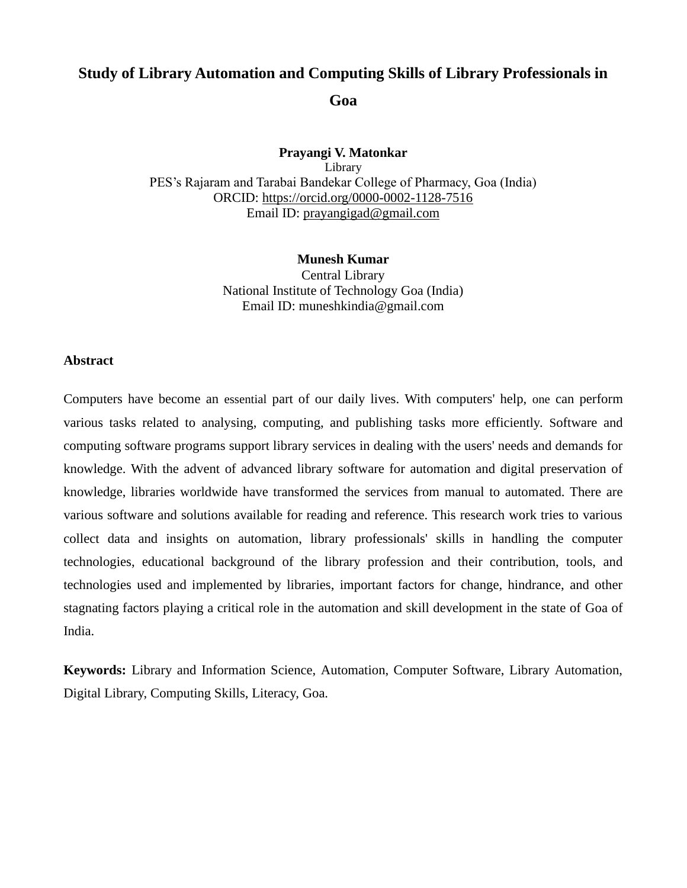## **Study of Library Automation and Computing Skills of Library Professionals in**

**Goa**

**[Prayangi V.](https://prayangislibrary.wordpress.com/) Matonkar** Library PES's Rajaram and Tarabai Bandekar College of Pharmacy, Goa (India) ORCID: https://orcid.org/0000-0002-1128-7516 Email ID: [prayangigad@gmail.com](mailto:prayangigad@gmail.com)

> **Munesh Kumar** Central Library National Institute of Technology Goa (India) Email ID: muneshkindia@gmail.com

#### **Abstract**

Computers have become an essential part of our daily lives. With computers' help, one can perform various tasks related to analysing, computing, and publishing tasks more efficiently. Software and computing software programs support library services in dealing with the users' needs and demands for knowledge. With the advent of advanced library software for automation and digital preservation of knowledge, libraries worldwide have transformed the services from manual to automated. There are various software and solutions available for reading and reference. This research work tries to various collect data and insights on automation, library professionals' skills in handling the computer technologies, educational background of the library profession and their contribution, tools, and technologies used and implemented by libraries, important factors for change, hindrance, and other stagnating factors playing a critical role in the automation and skill development in the state of Goa of India.

**Keywords:** Library and Information Science, Automation, Computer Software, Library Automation, Digital Library, Computing Skills, Literacy, Goa.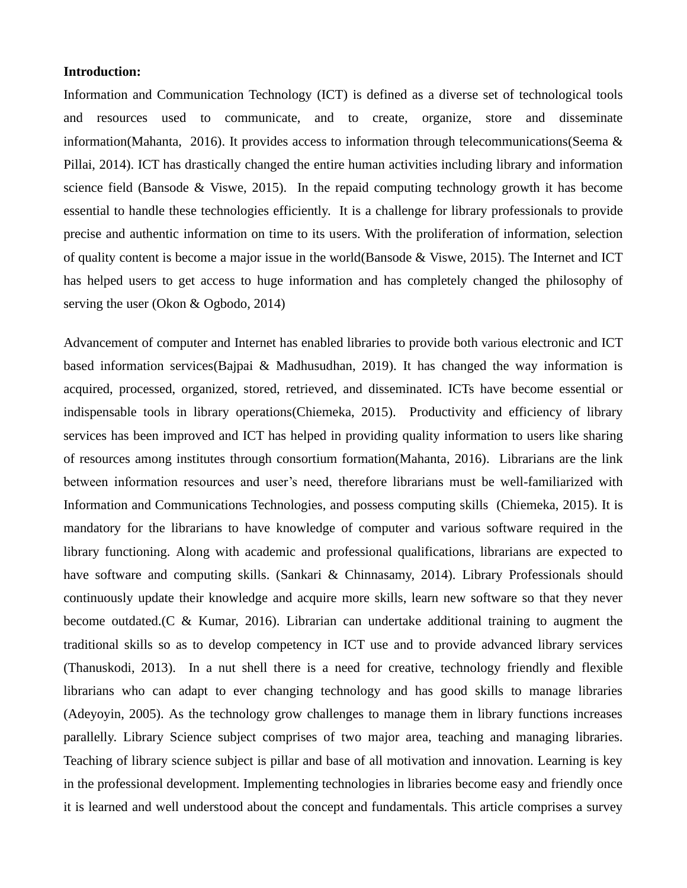#### **Introduction:**

Information and Communication Technology (ICT) is defined as a diverse set of technological tools and resources used to communicate, and to create, organize, store and disseminate information(Mahanta, 2016). It provides access to information through telecommunications(Seema & Pillai, 2014). ICT has drastically changed the entire human activities including library and information science field (Bansode  $&$  Viswe, 2015). In the repaid computing technology growth it has become essential to handle these technologies efficiently. It is a challenge for library professionals to provide precise and authentic information on time to its users. With the proliferation of information, selection of quality content is become a major issue in the world(Bansode & Viswe, 2015). The Internet and ICT has helped users to get access to huge information and has completely changed the philosophy of serving the user (Okon & Ogbodo, 2014)

Advancement of computer and Internet has enabled libraries to provide both various electronic and ICT based information services(Bajpai & Madhusudhan, 2019). It has changed the way information is acquired, processed, organized, stored, retrieved, and disseminated. ICTs have become essential or indispensable tools in library operations(Chiemeka, 2015). Productivity and efficiency of library services has been improved and ICT has helped in providing quality information to users like sharing of resources among institutes through consortium formation(Mahanta, 2016). Librarians are the link between information resources and user's need, therefore librarians must be well-familiarized with Information and Communications Technologies, and possess computing skills (Chiemeka, 2015). It is mandatory for the librarians to have knowledge of computer and various software required in the library functioning. Along with academic and professional qualifications, librarians are expected to have software and computing skills. (Sankari & Chinnasamy, 2014). Library Professionals should continuously update their knowledge and acquire more skills, learn new software so that they never become outdated.(C & Kumar, 2016). Librarian can undertake additional training to augment the traditional skills so as to develop competency in ICT use and to provide advanced library services (Thanuskodi, 2013). In a nut shell there is a need for creative, technology friendly and flexible librarians who can adapt to ever changing technology and has good skills to manage libraries (Adeyoyin, 2005). As the technology grow challenges to manage them in library functions increases parallelly. Library Science subject comprises of two major area, teaching and managing libraries. Teaching of library science subject is pillar and base of all motivation and innovation. Learning is key in the professional development. Implementing technologies in libraries become easy and friendly once it is learned and well understood about the concept and fundamentals. This article comprises a survey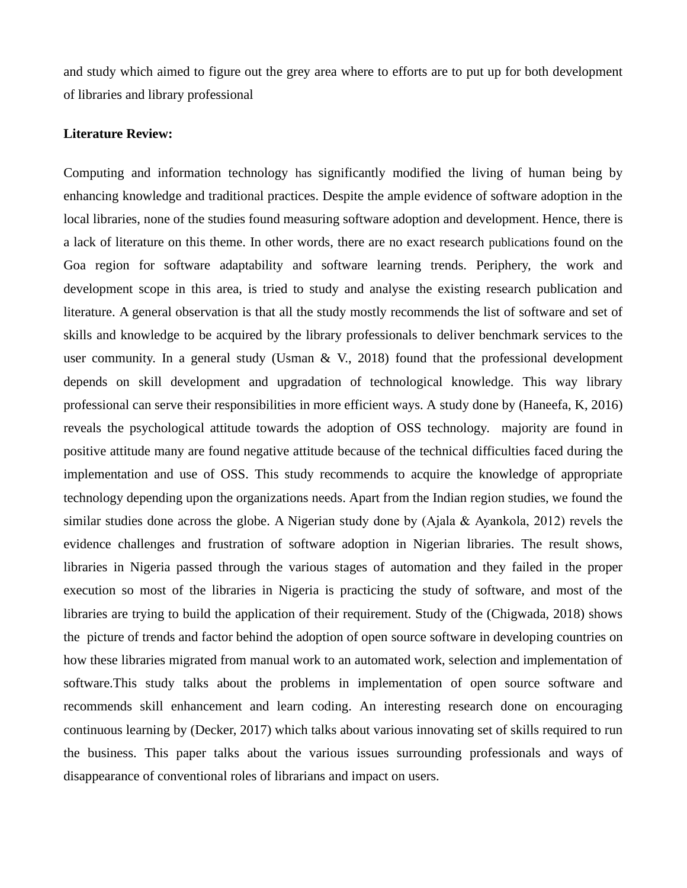and study which aimed to figure out the grey area where to efforts are to put up for both development of libraries and library professional

#### **Literature Review:**

Computing and information technology has significantly modified the living of human being by enhancing knowledge and traditional practices. Despite the ample evidence of software adoption in the local libraries, none of the studies found measuring software adoption and development. Hence, there is a lack of literature on this theme. In other words, there are no exact research publications found on the Goa region for software adaptability and software learning trends. Periphery, the work and development scope in this area, is tried to study and analyse the existing research publication and literature. A general observation is that all the study mostly recommends the list of software and set of skills and knowledge to be acquired by the library professionals to deliver benchmark services to the user community. In a general study (Usman  $& V, 2018$ ) found that the professional development depends on skill development and upgradation of technological knowledge. This way library professional can serve their responsibilities in more efficient ways. A study done by (Haneefa, K, 2016) reveals the psychological attitude towards the adoption of OSS technology. majority are found in positive attitude many are found negative attitude because of the technical difficulties faced during the implementation and use of OSS. This study recommends to acquire the knowledge of appropriate technology depending upon the organizations needs. Apart from the Indian region studies, we found the similar studies done across the globe. A Nigerian study done by (Ajala & Ayankola, 2012) revels the evidence challenges and frustration of software adoption in Nigerian libraries. The result shows, libraries in Nigeria passed through the various stages of automation and they failed in the proper execution so most of the libraries in Nigeria is practicing the study of software, and most of the libraries are trying to build the application of their requirement. Study of the (Chigwada, 2018) shows the picture of trends and factor behind the adoption of open source software in developing countries on how these libraries migrated from manual work to an automated work, selection and implementation of software.This study talks about the problems in implementation of open source software and recommends skill enhancement and learn coding. An interesting research done on encouraging continuous learning by (Decker, 2017) which talks about various innovating set of skills required to run the business. This paper talks about the various issues surrounding professionals and ways of disappearance of conventional roles of librarians and impact on users.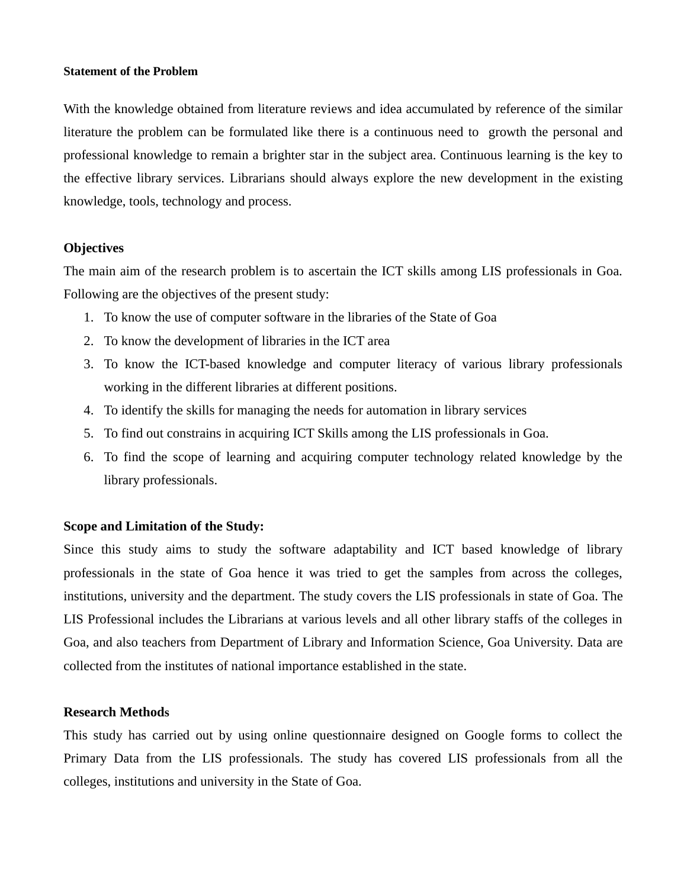#### **Statement of the Problem**

With the knowledge obtained from literature reviews and idea accumulated by reference of the similar literature the problem can be formulated like there is a continuous need to growth the personal and professional knowledge to remain a brighter star in the subject area. Continuous learning is the key to the effective library services. Librarians should always explore the new development in the existing knowledge, tools, technology and process.

#### **Objectives**

The main aim of the research problem is to ascertain the ICT skills among LIS professionals in Goa. Following are the objectives of the present study:

- 1. To know the use of computer software in the libraries of the State of Goa
- 2. To know the development of libraries in the ICT area
- 3. To know the ICT-based knowledge and computer literacy of various library professionals working in the different libraries at different positions.
- 4. To identify the skills for managing the needs for automation in library services
- 5. To find out constrains in acquiring ICT Skills among the LIS professionals in Goa.
- 6. To find the scope of learning and acquiring computer technology related knowledge by the library professionals.

#### **Scope and Limitation of the Study:**

Since this study aims to study the software adaptability and ICT based knowledge of library professionals in the state of Goa hence it was tried to get the samples from across the colleges, institutions, university and the department. The study covers the LIS professionals in state of Goa. The LIS Professional includes the Librarians at various levels and all other library staffs of the colleges in Goa, and also teachers from Department of Library and Information Science, Goa University. Data are collected from the institutes of national importance established in the state.

#### **Research Methods**

This study has carried out by using online questionnaire designed on Google forms to collect the Primary Data from the LIS professionals. The study has covered LIS professionals from all the colleges, institutions and university in the State of Goa.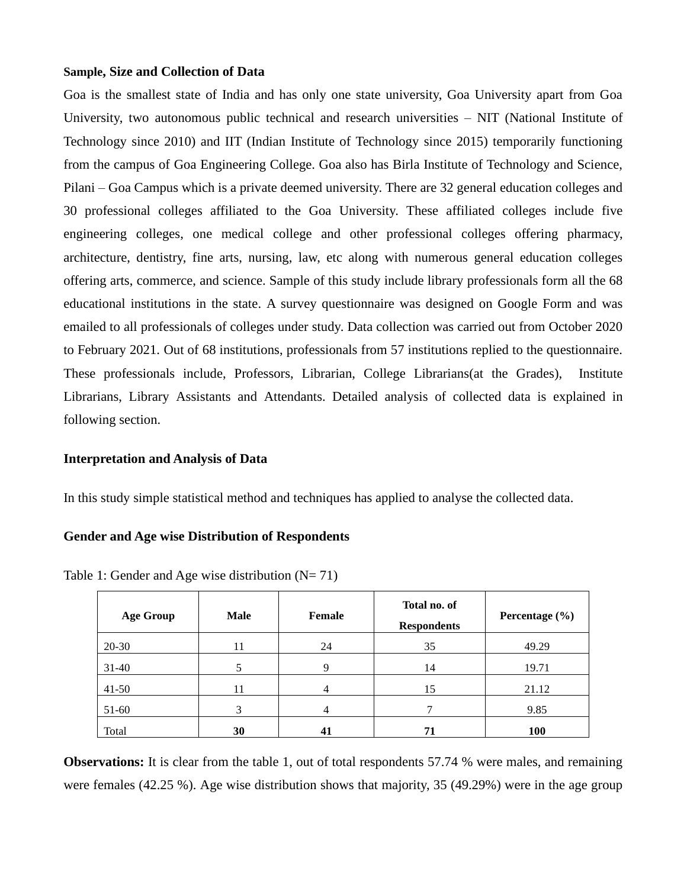#### **Sample, Size and Collection of Data**

Goa is the smallest state of India and has only one state university, Goa University apart from Goa University, two autonomous public technical and research universities – NIT (National Institute of Technology since 2010) and IIT (Indian Institute of Technology since 2015) temporarily functioning from the campus of Goa Engineering College. Goa also has Birla Institute of Technology and Science, Pilani – Goa Campus which is a private deemed university. There are 32 general education colleges and 30 professional colleges affiliated to the Goa University. These affiliated colleges include five engineering colleges, one medical college and other professional colleges offering pharmacy, architecture, dentistry, fine arts, nursing, law, etc along with numerous general education colleges offering arts, commerce, and science. Sample of this study include library professionals form all the 68 educational institutions in the state. A survey questionnaire was designed on Google Form and was emailed to all professionals of colleges under study. Data collection was carried out from October 2020 to February 2021. Out of 68 institutions, professionals from 57 institutions replied to the questionnaire. These professionals include, Professors, Librarian, College Librarians(at the Grades), Institute Librarians, Library Assistants and Attendants. Detailed analysis of collected data is explained in following section.

#### **Interpretation and Analysis of Data**

In this study simple statistical method and techniques has applied to analyse the collected data.

#### **Gender and Age wise Distribution of Respondents**

| <b>Age Group</b> | <b>Male</b> | Female | Total no. of<br><b>Respondents</b> | Percentage $(\% )$ |
|------------------|-------------|--------|------------------------------------|--------------------|
| 20-30            | 11          | 24     | 35                                 | 49.29              |
| $31-40$          |             | 9      | 14                                 | 19.71              |
| $41-50$          | 11          | 4      | 15                                 | 21.12              |
| $51-60$          | 3           | 4      | ⇁                                  | 9.85               |
| Total            | 30          | 41     | 71                                 | <b>100</b>         |

Table 1: Gender and Age wise distribution  $(N= 71)$ 

**Observations:** It is clear from the table 1, out of total respondents 57.74 % were males, and remaining were females (42.25 %). Age wise distribution shows that majority, 35 (49.29%) were in the age group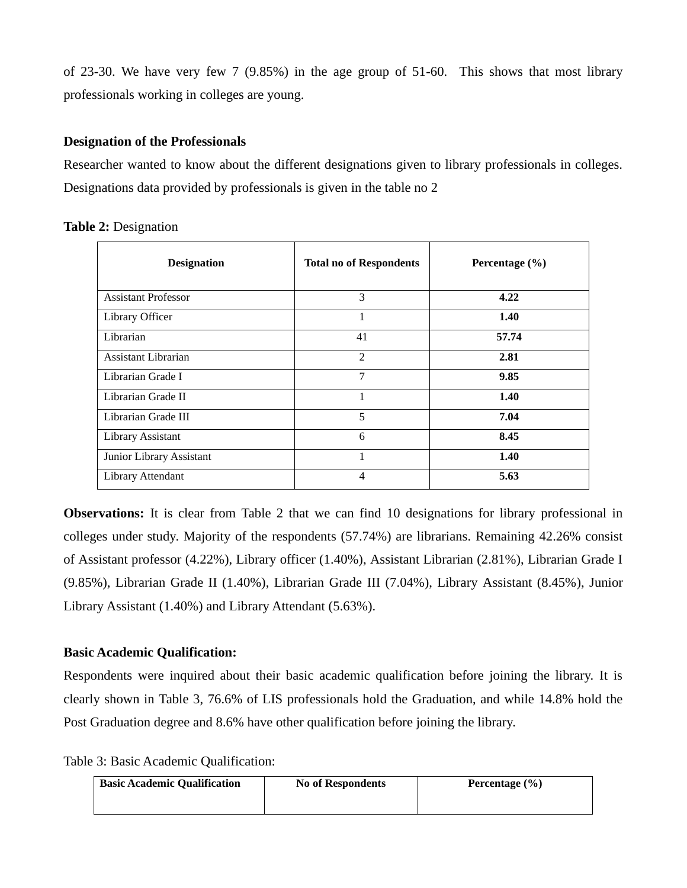of 23-30. We have very few 7 (9.85%) in the age group of 51-60. This shows that most library professionals working in colleges are young.

## **Designation of the Professionals**

Researcher wanted to know about the different designations given to library professionals in colleges. Designations data provided by professionals is given in the table no 2

| <b>Designation</b>         | <b>Total no of Respondents</b> | Percentage (%) |
|----------------------------|--------------------------------|----------------|
| <b>Assistant Professor</b> | 3                              | 4.22           |
| Library Officer            |                                | 1.40           |
| Librarian                  | 41                             | 57.74          |
| Assistant Librarian        | 2                              | 2.81           |
| Librarian Grade I          | 7                              | 9.85           |
| Librarian Grade II         | 1                              | 1.40           |
| Librarian Grade III        | 5                              | 7.04           |
| Library Assistant          | 6                              | 8.45           |
| Junior Library Assistant   |                                | 1.40           |
| Library Attendant          | 4                              | 5.63           |

**Table 2:** Designation

**Observations:** It is clear from Table 2 that we can find 10 designations for library professional in colleges under study. Majority of the respondents (57.74%) are librarians. Remaining 42.26% consist of Assistant professor (4.22%), Library officer (1.40%), Assistant Librarian (2.81%), Librarian Grade I (9.85%), Librarian Grade II (1.40%), Librarian Grade III (7.04%), Library Assistant (8.45%), Junior Library Assistant (1.40%) and Library Attendant (5.63%).

## **Basic Academic Qualification:**

Respondents were inquired about their basic academic qualification before joining the library. It is clearly shown in Table 3, 76.6% of LIS professionals hold the Graduation, and while 14.8% hold the Post Graduation degree and 8.6% have other qualification before joining the library.

Table 3: Basic Academic Qualification:

| <b>Basic Academic Qualification</b> | <b>No of Respondents</b> | Percentage $(\% )$ |
|-------------------------------------|--------------------------|--------------------|
|                                     |                          |                    |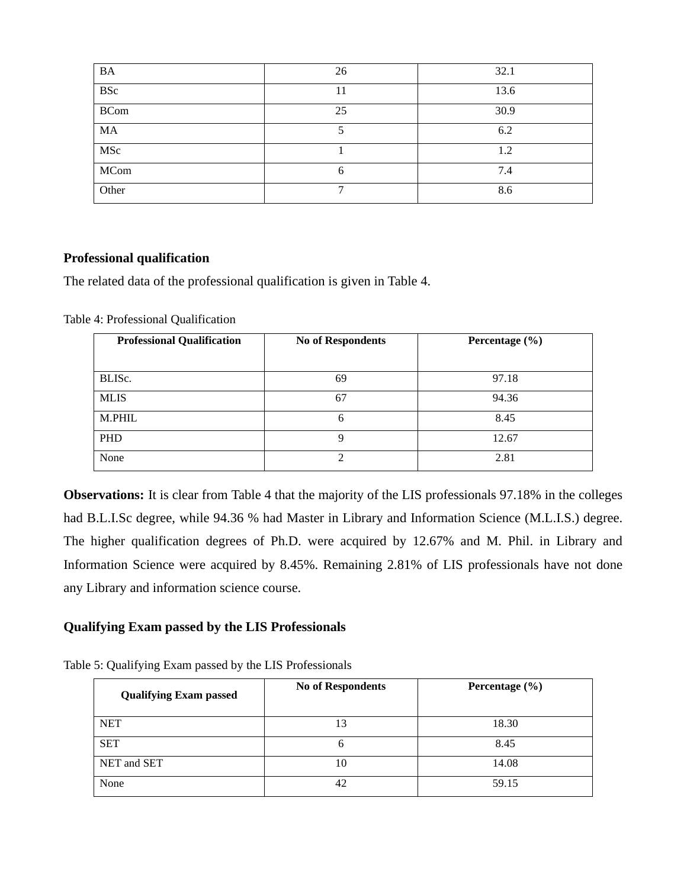| <b>BA</b>   | 26 | 32.1 |
|-------------|----|------|
| <b>BSc</b>  | 11 | 13.6 |
| <b>BCom</b> | 25 | 30.9 |
| MA          |    | 6.2  |
| MSc         |    | 1.2  |
| MCom        | 6  | 7.4  |
| Other       |    | 8.6  |

## **Professional qualification**

The related data of the professional qualification is given in Table 4.

Table 4: Professional Qualification

| <b>Professional Qualification</b> | <b>No of Respondents</b> | Percentage $(\% )$ |
|-----------------------------------|--------------------------|--------------------|
|                                   |                          |                    |
| BLISC.                            | 69                       | 97.18              |
| <b>MLIS</b>                       | 67                       | 94.36              |
| M.PHIL                            | 6                        | 8.45               |
| <b>PHD</b>                        | q                        | 12.67              |
| None                              | 2                        | 2.81               |

**Observations:** It is clear from Table 4 that the majority of the LIS professionals 97.18% in the colleges had B.L.I.Sc degree, while 94.36 % had Master in Library and Information Science (M.L.I.S.) degree. The higher qualification degrees of Ph.D. were acquired by 12.67% and M. Phil. in Library and Information Science were acquired by 8.45%. Remaining 2.81% of LIS professionals have not done any Library and information science course.

## **Qualifying Exam passed by the LIS Professionals**

Table 5: Qualifying Exam passed by the LIS Professionals

| <b>Qualifying Exam passed</b> | <b>No of Respondents</b> | Percentage $(\% )$ |
|-------------------------------|--------------------------|--------------------|
| <b>NET</b>                    | 13                       | 18.30              |
| <b>SET</b>                    | O                        | 8.45               |
| NET and SET                   | 10                       | 14.08              |
| None                          | 42                       | 59.15              |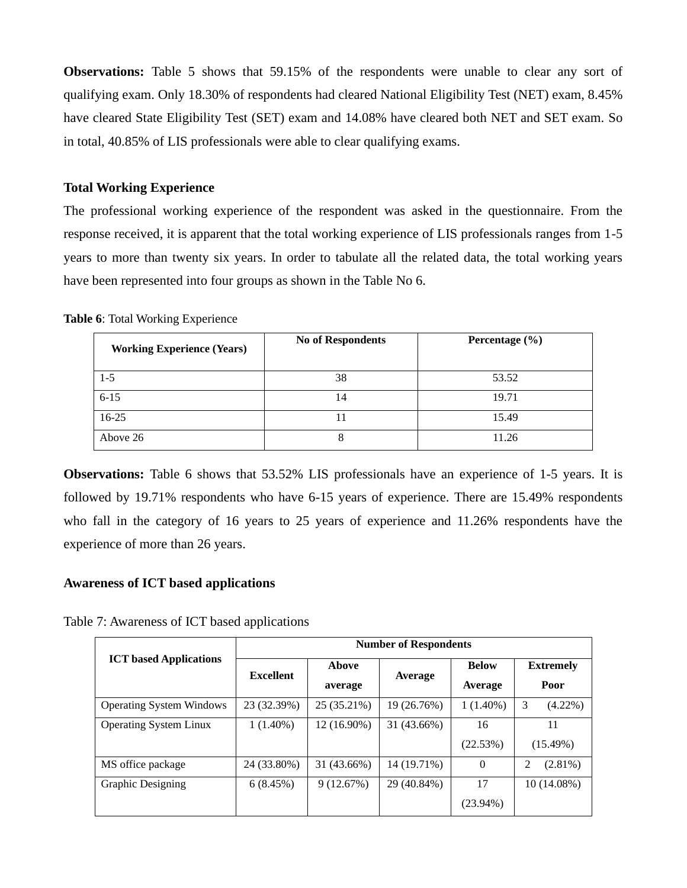**Observations:** Table 5 shows that 59.15% of the respondents were unable to clear any sort of qualifying exam. Only 18.30% of respondents had cleared National Eligibility Test (NET) exam, 8.45% have cleared State Eligibility Test (SET) exam and 14.08% have cleared both NET and SET exam. So in total, 40.85% of LIS professionals were able to clear qualifying exams.

#### **Total Working Experience**

The professional working experience of the respondent was asked in the questionnaire. From the response received, it is apparent that the total working experience of LIS professionals ranges from 1-5 years to more than twenty six years. In order to tabulate all the related data, the total working years have been represented into four groups as shown in the Table No 6.

**Table 6**: Total Working Experience

| <b>Working Experience (Years)</b> | <b>No of Respondents</b> | Percentage $(\% )$ |
|-----------------------------------|--------------------------|--------------------|
| $1-5$                             | 38                       | 53.52              |
| $6 - 15$                          | 14                       | 19.71              |
| $16-25$                           |                          | 15.49              |
| Above 26                          | 8                        | 11.26              |

**Observations:** Table 6 shows that 53.52% LIS professionals have an experience of 1-5 years. It is followed by 19.71% respondents who have 6-15 years of experience. There are 15.49% respondents who fall in the category of 16 years to 25 years of experience and 11.26% respondents have the experience of more than 26 years.

## **Awareness of ICT based applications**

Table 7: Awareness of ICT based applications

|                                 | <b>Number of Respondents</b> |                  |             |                         |                          |  |
|---------------------------------|------------------------------|------------------|-------------|-------------------------|--------------------------|--|
| <b>ICT</b> based Applications   | <b>Excellent</b>             | Above<br>average | Average     | <b>Below</b><br>Average | <b>Extremely</b><br>Poor |  |
| <b>Operating System Windows</b> | 23 (32.39%)                  | 25 (35.21%)      | 19 (26.76%) | $1(1.40\%)$             | 3<br>$(4.22\%)$          |  |
| <b>Operating System Linux</b>   | $1(1.40\%)$                  | 12 (16.90%)      | 31 (43.66%) | 16                      | 11                       |  |
|                                 |                              |                  |             | (22.53%)                | $(15.49\%)$              |  |
| MS office package               | 24 (33.80%)                  | 31 (43.66%)      | 14 (19.71%) | $\theta$                | $(2.81\%)$<br>2          |  |
| <b>Graphic Designing</b>        | 6(8.45%)                     | 9(12.67%)        | 29 (40.84%) | 17                      | 10 (14.08%)              |  |
|                                 |                              |                  |             | $(23.94\%)$             |                          |  |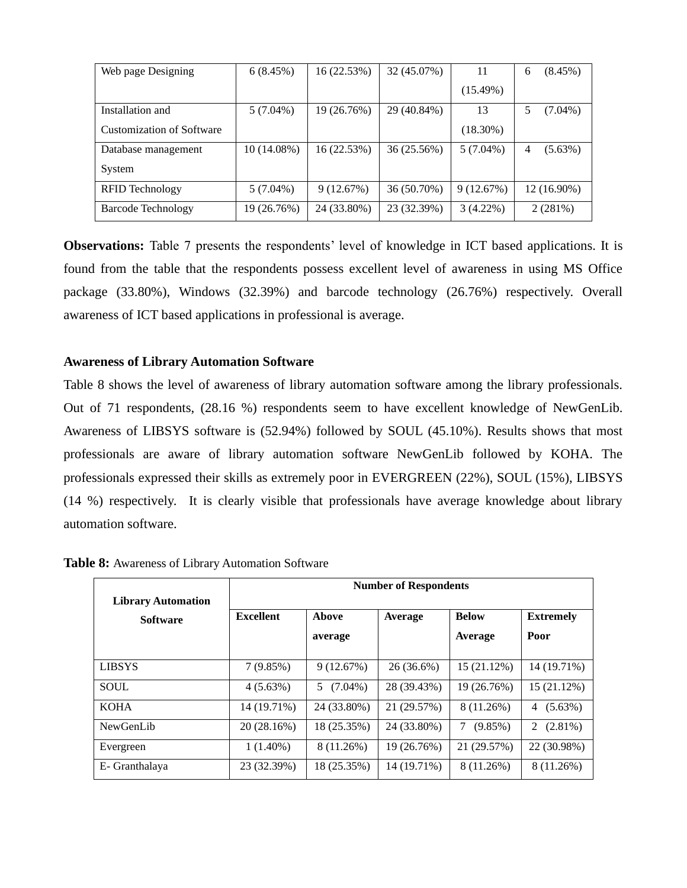| Web page Designing               | 6(8.45%)    | 16 (22.53%) | 32 (45.07%) | 11          | $(8.45\%)$<br>6 |
|----------------------------------|-------------|-------------|-------------|-------------|-----------------|
|                                  |             |             |             | (15.49%)    |                 |
| Installation and                 | $5(7.04\%)$ | 19 (26.76%) | 29 (40.84%) | 13          | $(7.04\%)$      |
| <b>Customization of Software</b> |             |             |             | $(18.30\%)$ |                 |
| Database management              | 10 (14.08%) | 16 (22.53%) | 36 (25.56%) | $5(7.04\%)$ | $(5.63\%)$<br>4 |
| System                           |             |             |             |             |                 |
| RFID Technology                  | $5(7.04\%)$ | 9(12.67%)   | 36 (50.70%) | 9(12.67%)   | 12 (16.90%)     |
| <b>Barcode Technology</b>        | 19 (26.76%) | 24 (33.80%) | 23 (32.39%) | $3(4.22\%)$ | 2(281%)         |

**Observations:** Table 7 presents the respondents' level of knowledge in ICT based applications. It is found from the table that the respondents possess excellent level of awareness in using MS Office package (33.80%), Windows (32.39%) and barcode technology (26.76%) respectively. Overall awareness of ICT based applications in professional is average.

#### **Awareness of Library Automation Software**

Table 8 shows the level of awareness of library automation software among the library professionals. Out of 71 respondents, (28.16 %) respondents seem to have excellent knowledge of NewGenLib. Awareness of LIBSYS software is (52.94%) followed by SOUL (45.10%). Results shows that most professionals are aware of library automation software NewGenLib followed by KOHA. The professionals expressed their skills as extremely poor in EVERGREEN (22%), SOUL (15%), LIBSYS (14 %) respectively. It is clearly visible that professionals have average knowledge about library automation software.

| <b>Library Automation</b> | <b>Number of Respondents</b> |             |              |                 |                  |  |  |
|---------------------------|------------------------------|-------------|--------------|-----------------|------------------|--|--|
| <b>Software</b>           | <b>Excellent</b>             | Above       | Average      | <b>Below</b>    | <b>Extremely</b> |  |  |
|                           |                              | average     |              | Average         | Poor             |  |  |
| <b>LIBSYS</b>             | 7(9.85%)                     | 9(12.67%)   | $26(36.6\%)$ | 15 (21.12%)     | 14 (19.71%)      |  |  |
| <b>SOUL</b>               | 4(5.63%)                     | $5(7.04\%)$ | 28 (39.43%)  | 19 (26.76%)     | 15 (21.12%)      |  |  |
| <b>KOHA</b>               | 14 (19.71%)                  | 24 (33.80%) | 21 (29.57%)  | 8 (11.26%)      | $(5.63\%)$<br>4  |  |  |
| NewGenLib                 | 20 (28.16%)                  | 18 (25.35%) | 24 (33.80%)  | 7<br>$(9.85\%)$ | $(2.81\%)$<br>2  |  |  |
| Evergreen                 | $1(1.40\%)$                  | 8 (11.26%)  | 19 (26.76%)  | 21 (29.57%)     | 22 (30.98%)      |  |  |
| E- Granthalaya            | 23 (32.39%)                  | 18 (25.35%) | 14 (19.71%)  | 8 (11.26%)      | 8 (11.26%)       |  |  |

**Table 8:** Awareness of Library Automation Software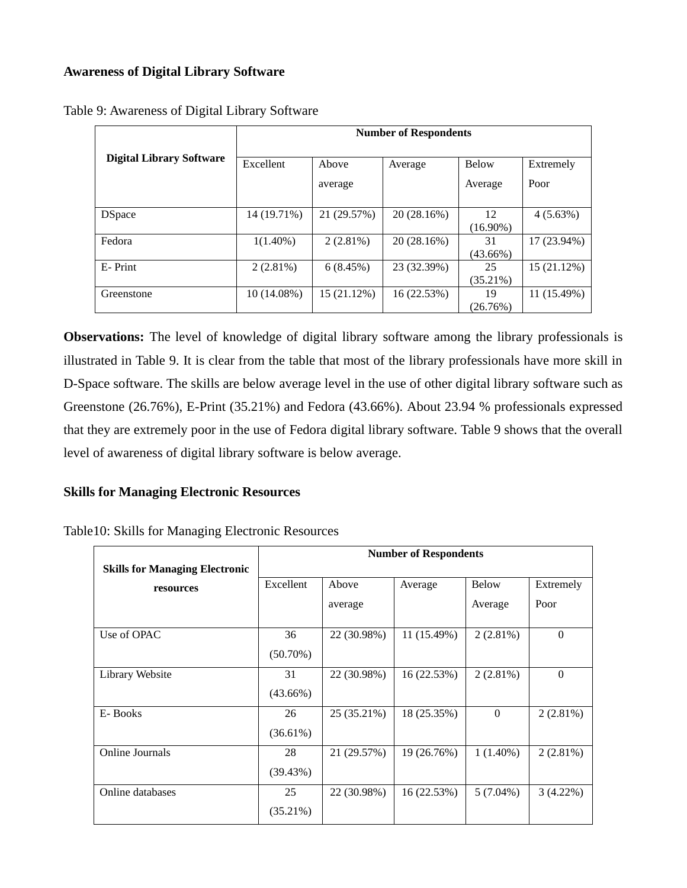## **Awareness of Digital Library Software**

|                                 | <b>Number of Respondents</b> |             |             |             |             |
|---------------------------------|------------------------------|-------------|-------------|-------------|-------------|
| <b>Digital Library Software</b> | Excellent                    | Above       | Average     | Below       | Extremely   |
|                                 |                              | average     |             | Average     | Poor        |
|                                 |                              |             |             |             |             |
| <b>DSpace</b>                   | 14 (19.71%)                  | 21 (29.57%) | 20 (28.16%) | 12          | $4(5.63\%)$ |
|                                 |                              |             |             | $(16.90\%)$ |             |
| Fedora                          | $1(1.40\%)$                  | 2(2.81%)    | 20(28.16%)  | 31          | 17 (23.94%) |
|                                 |                              |             |             | $(43.66\%)$ |             |
| E-Print                         | $2(2.81\%)$                  | 6(8.45%)    | 23 (32.39%) | 25          | 15(21.12%)  |
|                                 |                              |             |             | $(35.21\%)$ |             |
| Greenstone                      | $10(14.08\%)$                | 15 (21.12%) | 16 (22.53%) | 19          | 11 (15.49%) |
|                                 |                              |             |             | (26.76%)    |             |

Table 9: Awareness of Digital Library Software

**Observations:** The level of knowledge of digital library software among the library professionals is illustrated in Table 9. It is clear from the table that most of the library professionals have more skill in D-Space software. The skills are below average level in the use of other digital library software such as Greenstone (26.76%), E-Print (35.21%) and Fedora (43.66%). About 23.94 % professionals expressed that they are extremely poor in the use of Fedora digital library software. Table 9 shows that the overall level of awareness of digital library software is below average.

## **Skills for Managing Electronic Resources**

|                                       |             | <b>Number of Respondents</b> |             |              |                |  |
|---------------------------------------|-------------|------------------------------|-------------|--------------|----------------|--|
| <b>Skills for Managing Electronic</b> |             |                              |             |              |                |  |
| resources                             | Excellent   | Above                        | Average     | <b>Below</b> | Extremely      |  |
|                                       |             | average                      |             | Average      | Poor           |  |
| Use of OPAC                           | 36          | 22 (30.98%)                  | 11 (15.49%) | 2(2.81%)     | $\overline{0}$ |  |
|                                       | $(50.70\%)$ |                              |             |              |                |  |
| Library Website                       | 31          | 22 (30.98%)                  | 16 (22.53%) | 2(2.81%)     | $\Omega$       |  |
|                                       | $(43.66\%)$ |                              |             |              |                |  |
| E-Books                               | 26          | 25 (35.21%)                  | 18 (25.35%) | $\Omega$     | $2(2.81\%)$    |  |
|                                       | $(36.61\%)$ |                              |             |              |                |  |
| <b>Online Journals</b>                | 28          | 21 (29.57%)                  | 19 (26.76%) | $1(1.40\%)$  | $2(2.81\%)$    |  |
|                                       | (39.43%)    |                              |             |              |                |  |
| Online databases                      | 25          | 22 (30.98%)                  | 16 (22.53%) | $5(7.04\%)$  | $3(4.22\%)$    |  |
|                                       | $(35.21\%)$ |                              |             |              |                |  |

Table10: Skills for Managing Electronic Resources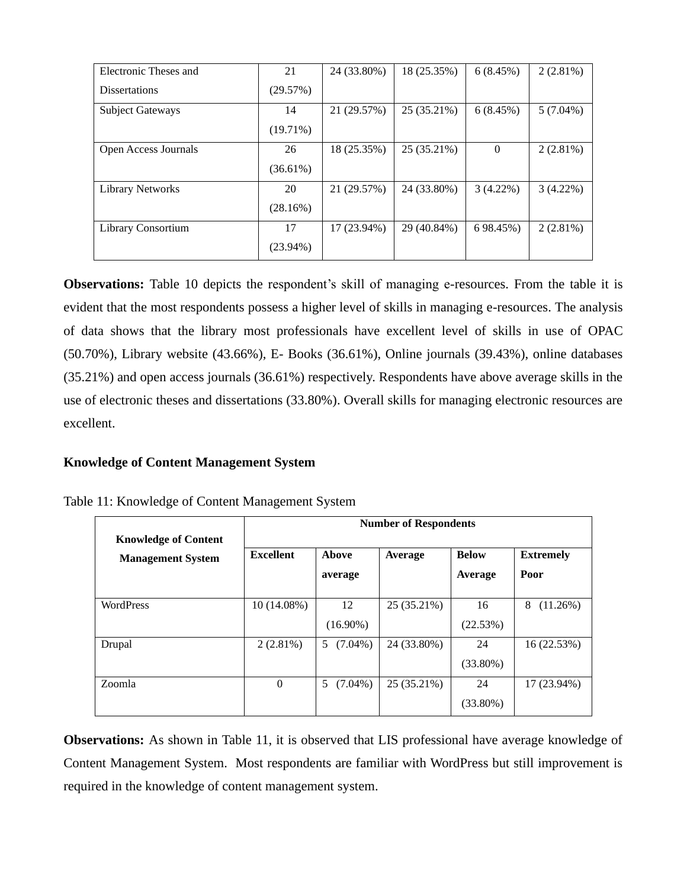| Electronic Theses and   | 21          | 24 (33.80%) | 18 (25.35%) | 6(8.45%)    | $2(2.81\%)$ |
|-------------------------|-------------|-------------|-------------|-------------|-------------|
| <b>Dissertations</b>    | (29.57%)    |             |             |             |             |
| <b>Subject Gateways</b> | 14          | 21 (29.57%) | 25 (35.21%) | 6(8.45%)    | $5(7.04\%)$ |
|                         | (19.71%)    |             |             |             |             |
| Open Access Journals    | 26          | 18 (25.35%) | 25 (35.21%) | $\theta$    | 2(2.81%)    |
|                         | $(36.61\%)$ |             |             |             |             |
| <b>Library Networks</b> | 20          | 21 (29.57%) | 24 (33.80%) | $3(4.22\%)$ | $3(4.22\%)$ |
|                         | (28.16%)    |             |             |             |             |
| Library Consortium      | 17          | 17 (23.94%) | 29 (40.84%) | 6 98.45%)   | $2(2.81\%)$ |
|                         | $(23.94\%)$ |             |             |             |             |

**Observations:** Table 10 depicts the respondent's skill of managing e-resources. From the table it is evident that the most respondents possess a higher level of skills in managing e-resources. The analysis of data shows that the library most professionals have excellent level of skills in use of OPAC (50.70%), Library website (43.66%), E- Books (36.61%), Online journals (39.43%), online databases (35.21%) and open access journals (36.61%) respectively. Respondents have above average skills in the use of electronic theses and dissertations (33.80%). Overall skills for managing electronic resources are excellent.

## **Knowledge of Content Management System**

|                                                         | <b>Number of Respondents</b> |                   |             |                         |                          |  |
|---------------------------------------------------------|------------------------------|-------------------|-------------|-------------------------|--------------------------|--|
| <b>Knowledge of Content</b><br><b>Management System</b> | <b>Excellent</b>             | Above<br>average  | Average     | <b>Below</b><br>Average | <b>Extremely</b><br>Poor |  |
| <b>WordPress</b>                                        | $10(14.08\%)$                | 12<br>$(16.90\%)$ | 25 (35.21%) | 16<br>(22.53%)          | 8<br>(11.26%)            |  |
| Drupal                                                  | 2(2.81%)                     | $(7.04\%)$<br>5   | 24 (33.80%) | 24<br>$(33.80\%)$       | 16 (22.53%)              |  |
| Zoomla                                                  | $\Omega$                     | 5<br>$(7.04\%)$   | 25 (35.21%) | 24<br>$(33.80\%)$       | 17 (23.94%)              |  |

|  | Table 11: Knowledge of Content Management System |  |
|--|--------------------------------------------------|--|

**Observations:** As shown in Table 11, it is observed that LIS professional have average knowledge of Content Management System. Most respondents are familiar with WordPress but still improvement is required in the knowledge of content management system.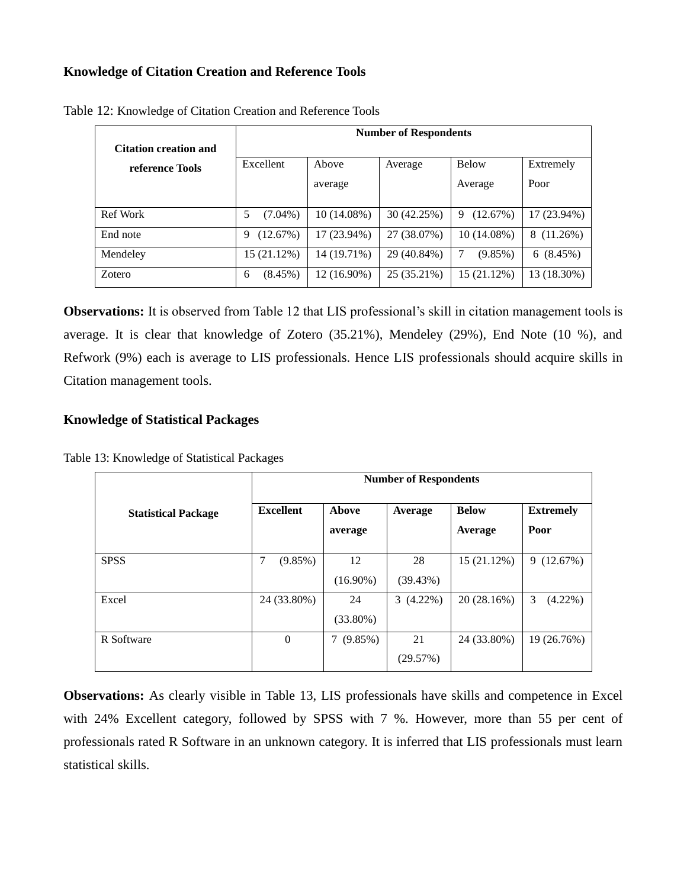## **Knowledge of Citation Creation and Reference Tools**

| <b>Citation creation and</b> | <b>Number of Respondents</b> |             |             |               |                 |
|------------------------------|------------------------------|-------------|-------------|---------------|-----------------|
| reference Tools              | Excellent                    | Above       | Average     | <b>Below</b>  | Extremely       |
|                              |                              | average     |             | Average       | Poor            |
|                              |                              |             |             |               |                 |
| Ref Work                     | 5<br>$(7.04\%)$              | 10 (14.08%) | 30 (42.25%) | (12.67%)<br>9 | 17 (23.94%)     |
| End note                     | (12.67%)<br>9                | 17 (23.94%) | 27 (38.07%) | 10 (14.08%)   | 8 (11.26%)      |
| Mendeley                     | 15 (21.12%)                  | 14 (19.71%) | 29 (40.84%) | $(9.85\%)$    | $(8.45\%)$<br>6 |
| Zotero                       | $(8.45\%)$<br>6              | 12 (16.90%) | 25 (35.21%) | 15 (21.12%)   | 13 (18.30%)     |

Table 12: Knowledge of Citation Creation and Reference Tools

**Observations:** It is observed from Table 12 that LIS professional's skill in citation management tools is average. It is clear that knowledge of Zotero (35.21%), Mendeley (29%), End Note (10 %), and Refwork (9%) each is average to LIS professionals. Hence LIS professionals should acquire skills in Citation management tools.

## **Knowledge of Statistical Packages**

Table 13: Knowledge of Statistical Packages

|                            | <b>Number of Respondents</b> |                 |             |              |                  |
|----------------------------|------------------------------|-----------------|-------------|--------------|------------------|
| <b>Statistical Package</b> | <b>Excellent</b>             | <b>Above</b>    | Average     | <b>Below</b> | <b>Extremely</b> |
|                            |                              | average         |             | Average      | Poor             |
| <b>SPSS</b>                | 7<br>$(9.85\%)$              | 12              | 28          | 15 (21.12%)  | (12.67%)<br>9    |
|                            |                              | $(16.90\%)$     | (39.43%)    |              |                  |
| Excel                      | 24 (33.80%)                  | 24              | $3(4.22\%)$ | 20(28.16%)   | 3<br>$(4.22\%)$  |
|                            |                              | $(33.80\%)$     |             |              |                  |
| R Software                 | $\mathbf{0}$                 | 7<br>$(9.85\%)$ | 21          | 24 (33.80%)  | 19 (26.76%)      |
|                            |                              |                 | (29.57%)    |              |                  |

**Observations:** As clearly visible in Table 13, LIS professionals have skills and competence in Excel with 24% Excellent category, followed by SPSS with 7 %. However, more than 55 per cent of professionals rated R Software in an unknown category. It is inferred that LIS professionals must learn statistical skills.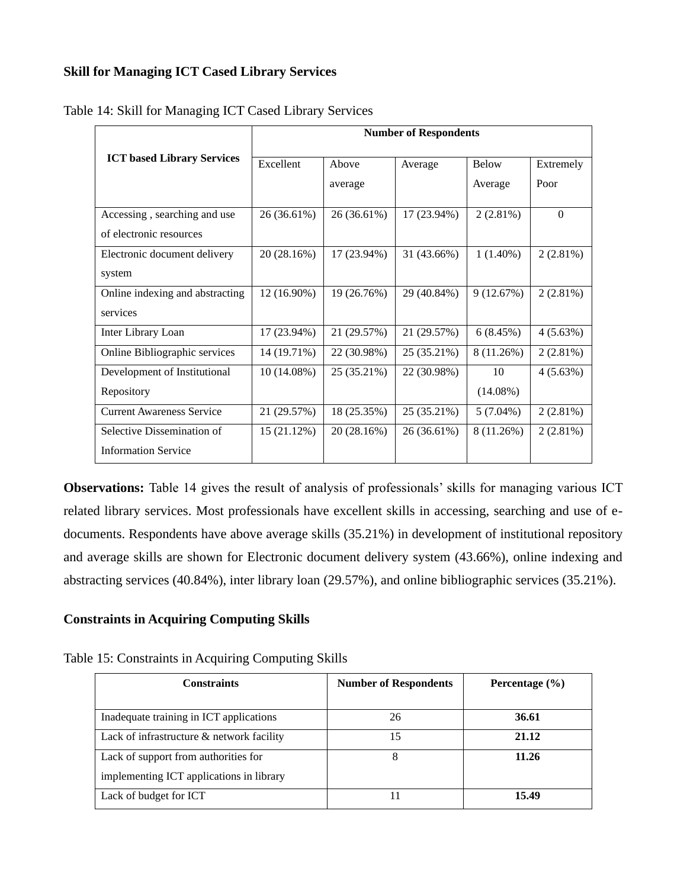## **Skill for Managing ICT Cased Library Services**

|                                   | <b>Number of Respondents</b> |             |             |             |             |
|-----------------------------------|------------------------------|-------------|-------------|-------------|-------------|
| <b>ICT</b> based Library Services | Excellent                    | Above       | Average     | Below       | Extremely   |
|                                   |                              | average     |             | Average     | Poor        |
| Accessing, searching and use      | 26 (36.61%)                  | 26 (36.61%) | 17 (23.94%) | $2(2.81\%)$ | $\Omega$    |
| of electronic resources           |                              |             |             |             |             |
| Electronic document delivery      | 20 (28.16%)                  | 17 (23.94%) | 31 (43.66%) | $1(1.40\%)$ | 2(2.81%)    |
| system                            |                              |             |             |             |             |
| Online indexing and abstracting   | 12 (16.90%)                  | 19 (26.76%) | 29 (40.84%) | 9(12.67%)   | $2(2.81\%)$ |
| services                          |                              |             |             |             |             |
| Inter Library Loan                | 17 (23.94%)                  | 21 (29.57%) | 21 (29.57%) | 6(8.45%)    | 4(5.63%)    |
| Online Bibliographic services     | 14 (19.71%)                  | 22 (30.98%) | 25 (35.21%) | 8 (11.26%)  | 2(2.81%)    |
| Development of Institutional      | $10(14.08\%)$                | 25 (35.21%) | 22 (30.98%) | 10          | 4(5.63%)    |
| Repository                        |                              |             |             | $(14.08\%)$ |             |
| <b>Current Awareness Service</b>  | 21 (29.57%)                  | 18 (25.35%) | 25 (35.21%) | $5(7.04\%)$ | 2(2.81%)    |
| Selective Dissemination of        | 15(21.12%)                   | 20 (28.16%) | 26 (36.61%) | 8 (11.26%)  | 2(2.81%)    |
| <b>Information Service</b>        |                              |             |             |             |             |

Table 14: Skill for Managing ICT Cased Library Services

**Observations:** Table 14 gives the result of analysis of professionals' skills for managing various ICT related library services. Most professionals have excellent skills in accessing, searching and use of edocuments. Respondents have above average skills (35.21%) in development of institutional repository and average skills are shown for Electronic document delivery system (43.66%), online indexing and abstracting services (40.84%), inter library loan (29.57%), and online bibliographic services (35.21%).

## **Constraints in Acquiring Computing Skills**

| <b>Constraints</b>                                                               | <b>Number of Respondents</b> | Percentage $(\% )$ |
|----------------------------------------------------------------------------------|------------------------------|--------------------|
| Inadequate training in ICT applications                                          | 26                           | 36.61              |
| Lack of infrastructure & network facility                                        | 15                           | 21.12              |
| Lack of support from authorities for<br>implementing ICT applications in library | 8                            | 11.26              |
| Lack of budget for ICT                                                           |                              | 15.49              |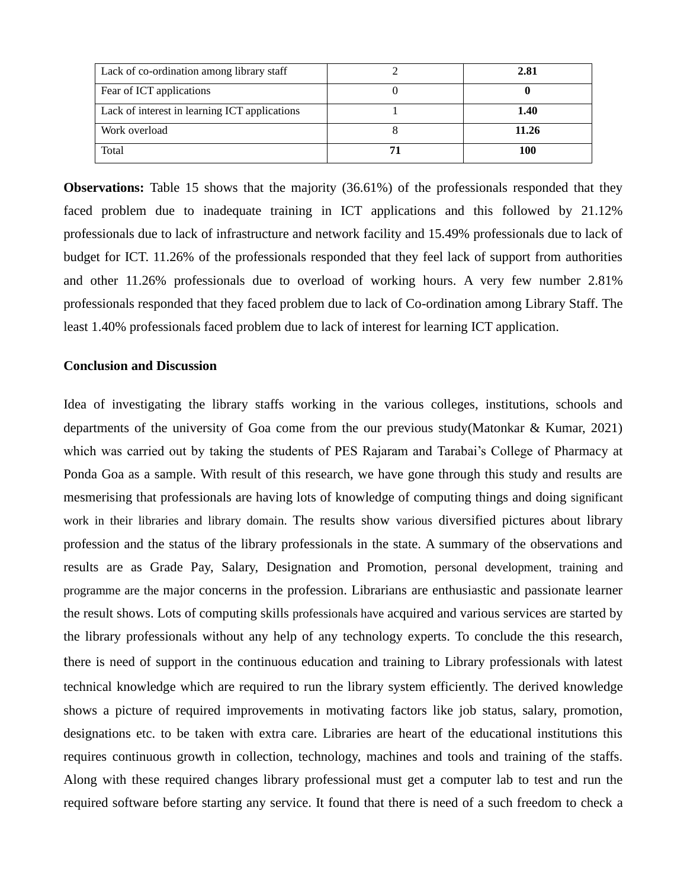| Lack of co-ordination among library staff     | 2.81  |
|-----------------------------------------------|-------|
| Fear of ICT applications                      |       |
| Lack of interest in learning ICT applications | 1.40  |
| Work overload                                 | 11.26 |
| Total                                         | 100   |

**Observations:** Table 15 shows that the majority (36.61%) of the professionals responded that they faced problem due to inadequate training in ICT applications and this followed by 21.12% professionals due to lack of infrastructure and network facility and 15.49% professionals due to lack of budget for ICT. 11.26% of the professionals responded that they feel lack of support from authorities and other 11.26% professionals due to overload of working hours. A very few number 2.81% professionals responded that they faced problem due to lack of Co-ordination among Library Staff. The least 1.40% professionals faced problem due to lack of interest for learning ICT application.

#### **Conclusion and Discussion**

Idea of investigating the library staffs working in the various colleges, institutions, schools and departments of the university of Goa come from the our previous study(Matonkar & Kumar, 2021) which was carried out by taking the students of PES Rajaram and Tarabai's College of Pharmacy at Ponda Goa as a sample. With result of this research, we have gone through this study and results are mesmerising that professionals are having lots of knowledge of computing things and doing significant work in their libraries and library domain. The results show various diversified pictures about library profession and the status of the library professionals in the state. A summary of the observations and results are as Grade Pay, Salary, Designation and Promotion, personal development, training and programme are the major concerns in the profession. Librarians are enthusiastic and passionate learner the result shows. Lots of computing skills professionals have acquired and various services are started by the library professionals without any help of any technology experts. To conclude the this research, there is need of support in the continuous education and training to Library professionals with latest technical knowledge which are required to run the library system efficiently. The derived knowledge shows a picture of required improvements in motivating factors like job status, salary, promotion, designations etc. to be taken with extra care. Libraries are heart of the educational institutions this requires continuous growth in collection, technology, machines and tools and training of the staffs. Along with these required changes library professional must get a computer lab to test and run the required software before starting any service. It found that there is need of a such freedom to check a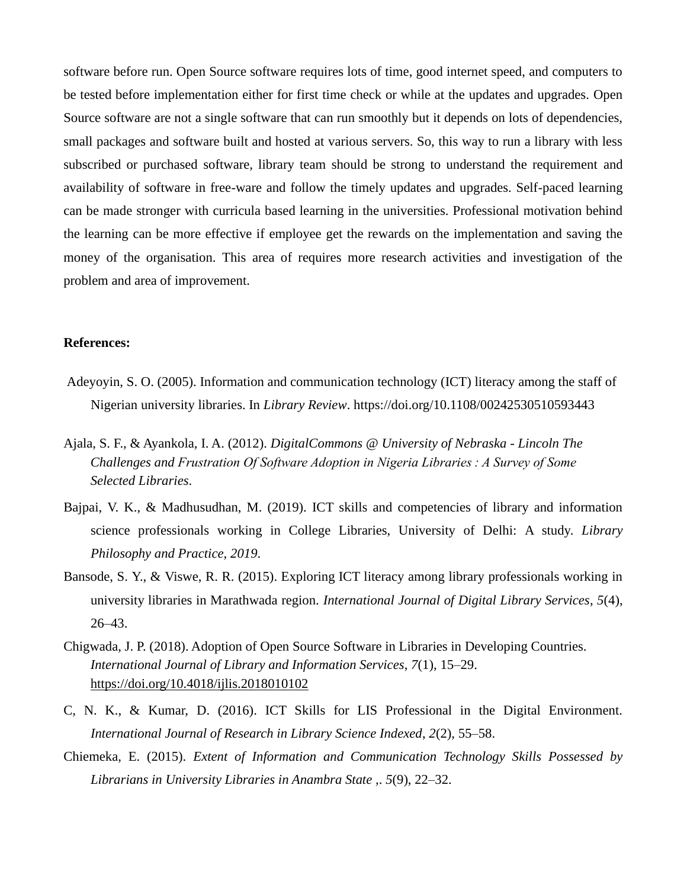software before run. Open Source software requires lots of time, good internet speed, and computers to be tested before implementation either for first time check or while at the updates and upgrades. Open Source software are not a single software that can run smoothly but it depends on lots of dependencies, small packages and software built and hosted at various servers. So, this way to run a library with less subscribed or purchased software, library team should be strong to understand the requirement and availability of software in free-ware and follow the timely updates and upgrades. Self-paced learning can be made stronger with curricula based learning in the universities. Professional motivation behind the learning can be more effective if employee get the rewards on the implementation and saving the money of the organisation. This area of requires more research activities and investigation of the problem and area of improvement.

#### **References:**

- Adeyoyin, S. O. (2005). Information and communication technology (ICT) literacy among the staff of Nigerian university libraries. In *Library Review*. https://doi.org/10.1108/00242530510593443
- Ajala, S. F., & Ayankola, I. A. (2012). *DigitalCommons @ University of Nebraska - Lincoln The Challenges and Frustration Of Software Adoption in Nigeria Libraries : A Survey of Some Selected Libraries*.
- Bajpai, V. K., & Madhusudhan, M. (2019). ICT skills and competencies of library and information science professionals working in College Libraries, University of Delhi: A study. *Library Philosophy and Practice*, *2019*.
- Bansode, S. Y., & Viswe, R. R. (2015). Exploring ICT literacy among library professionals working in university libraries in Marathwada region. *International Journal of Digital Library Services*, *5*(4), 26–43.
- Chigwada, J. P. (2018). Adoption of Open Source Software in Libraries in Developing Countries. *International Journal of Library and Information Services*, *7*(1), 15–29. <https://doi.org/10.4018/ijlis.2018010102>
- C, N. K., & Kumar, D. (2016). ICT Skills for LIS Professional in the Digital Environment. *International Journal of Research in Library Science Indexed*, *2*(2), 55–58.
- Chiemeka, E. (2015). *Extent of Information and Communication Technology Skills Possessed by Librarians in University Libraries in Anambra State ,*. *5*(9), 22–32.